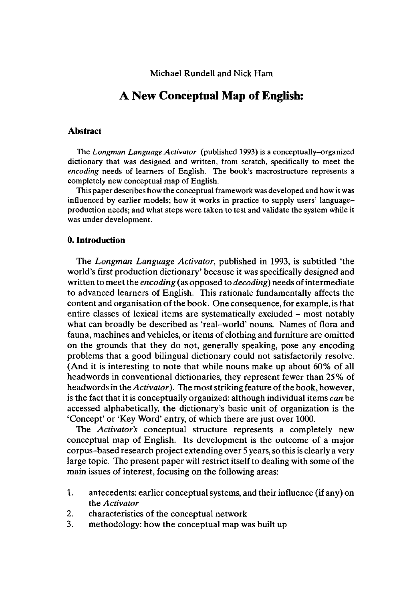Michael Rundell and Nick Harn

# **A New Conceptual Map of English:**

### **Abstract**

The *Longman Language Activator* (published 1993) is a conceptually-organized dictionary that was designed and written, from scratch, specifically to meet the *encoding* needs of learners of English. The book's macrostructure represents a completely new conceptual map of English.

This paper describes how the conceptual framework was developed and how it was influenced by earlier models; how it works in practice to supply users' languageproduction needs; and what steps were taken to test and validate the system while it was under development.

### **0. Introduction**

The *Longman Language Activator,* published in 1993, is subtitled 'the world's first production dictionary' because it was specifically designed and written to meet the *encoding* (as opposed to *decoding*) needs of intermediate to advanced learners of English. This rationale fundamentally affects the content and organisation of the book. One consequence, for example, is that entire classes of lexical items are systematically excluded – most notably what can broadly be described as 'real-world' nouns. Names of flora and fauna, machines and vehicles, or items of clothing and furniture are omitted on the grounds that they do not, generally speaking, pose any encoding problems that a good bilingual dictionary could not satisfactorily resolve. (And it is interesting to note that while nouns make up about 60% of all headwords in conventional dictionaries, they represent fewer than 25% of headwords in the *Activator*). The most striking feature of the book, however, is the fact that it is conceptually organized: although individual items *can* be accessed alphabetically, the dictionary's basic unit of organization is the 'Concept' or 'Key Word' entry, of which there are just over 1000.

The *Activator's* conceptual structure represents a completely new conceptual map of English. Its development is the outcome of a major corpus-based research project extending over 5 years, so this is clearly a very large topic. The present paper will restrict itself to dealing with some of the main issues of interest, focusing on the following areas:

- 1. antecedents: earlier conceptual systems, and their influence (if any) on the *Activator*
- *2.* characteristics of the conceptual network
- 3. methodology: how the conceptual map was built up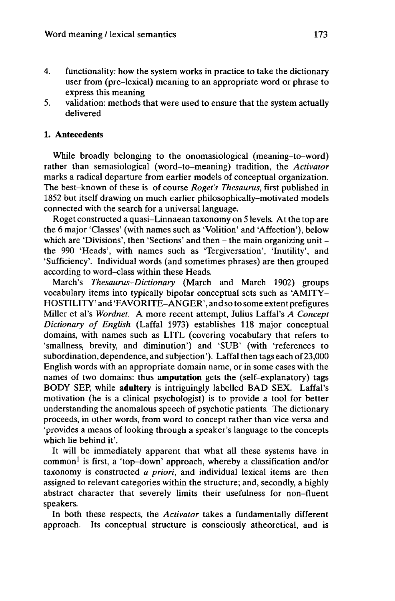- 4. functionality: how the system works in practice to take the dictionary user from (pre-lexical) meaning to an appropriate word or phrase to express this meaning
- 5. validation: methods that were used to ensure that the system actually delivered

## **1. Antecedents**

While broadly belonging to the onomasiological (meaning-to-word) rather than semasiological (word-to-meaning) tradition, the *Activator* marks a radical departure from earlier models of conceptual organization. The best-known of these is of course *Roget's Thesaurus,* first published in 1852 but itself drawing on much earlier philosophically-motivated models connected with the search for a universal language.

Roget constructed a quasi-Linnaean taxonomy on 5 levels. Atthe top are the 6 major 'Classes' (with names such as 'Volition' and 'Affection'), below which are 'Divisions', then 'Sections' and then - the main organizing unit the 990 'Heads', with names such as 'Tergiversation', 'Inutility', and 'Sufficiency'. Individual words (and sometimes phrases) are then grouped according to word-class within these Heads.

March's *Thesaurus-Dictionary* (March and March 1902) groups vocabulary items into typically bipolar conceptual sets such as 'AMITY-HOSTILITY' and 'FAVORITE-ANGER', and so to some extent prefigures Miller et al's *Wordnet. A* more recent attempt, Julius Laffal's *A Concept Dictionary of English* (Laffal 1973) establishes 118 major conceptual domains, with names such as LITL (covering vocabulary that refers to 'smallness, brevity, and diminution') and 'SUB' (with 'references to subordination, dependence, and subjection'). Laffal then tags each of 23,000 English words with an appropriate domain name, or in some cases with the names of two domains: thus **amputation** gets the (self-explanatory) tags BODY SEP, while **adultery** is intriguingly labelled BAD SEX. Laffal's motivation (he is a clinical psychologist) is to provide a tool for better understanding the anomalous speech of psychotic patients. The dictionary proceeds, in other words, from word to concept rather than vice versa and 'provides a means of looking through a speaker's language to the concepts which lie behind it'.

It will be immediately apparent that what all these systems have in common<sup>1</sup> is first, a 'top-down' approach, whereby a classification and/or taxonomy is constructed *a priori,* and individual lexical items are then assigned to relevant categories within the structure; and, secondly, a highly abstract character that severely limits their usefulness for non-fluent speakers.

In both these respects, the *Activator* takes a fundamentally different approach. Its conceptual structure is consciously atheoretical, and is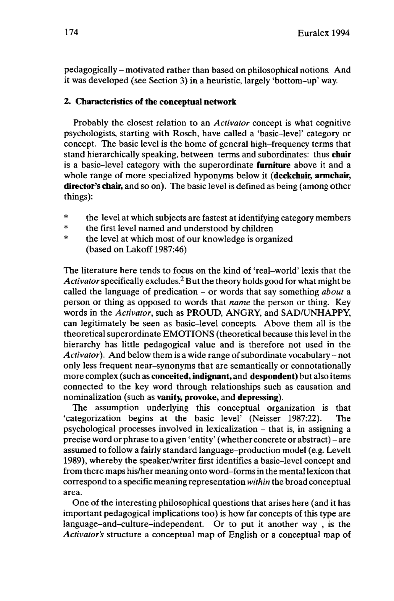pedagogically -motivated rather than based on philosophical notions. And it was developed (see Section 3) in a heuristic, largely 'bottom-up' way.

## **2. Characteristics of the conceptual network**

Probably the closest relation to an *Activator* concept is what cognitive psychologists, starting with Rosch, have called a 'basic-level' category or concept. The basic level is the home of general high-frequency terms that stand hierarchically speaking, between terms and subordinates: thus **chair** is a basic-level category with the superordinate **furniture** above it and a whole range of more specialized hyponyms below it **(deckchair, armchair, director's chair,** and so on). The basic level is defined as being (among other things):

- \* the level at which subjects are fastest at identifying category members<br>\* the first level named and understood by children
- \* the first level named and understood by children<br>\* the level at which most of our knowledge is exact
- the level at which most of our knowledge is organized (based on Lakoff 1987:46)

The literature here tends to focus on the kind of 'real-world' lexis that the Activator specifically excludes.<sup>2</sup> But the theory holds good for what might be called the language of predication - or words that say something *about* <sup>a</sup> person or thing as opposed to words that *name* the person or thing. Key words in the *Activator,* such as PROUD, ANGRY, and SAD/UNHAPPY, can legitimately be seen as basic-level concepts. Above them all is the theoretical superordinate EMOTIONS (theoretical because this level in the hierarchy has little pedagogical value and is therefore not used in the Activator). And below them is a wide range of subordinate vocabulary – not only less frequent near-synonyms that are semantically or connotationally more complex (such as **conceited, indignant,** and **despondent)** but also items connected to the key word through relationships such as causation and nominalization (such as **vanity, provoke,** and **depressing).**

The assumption underlying this conceptual organization is that 'categorization begins at the basic level' (Neisser 1987:22). The psychological processes involved in lexicalization - that is, in assigning <sup>a</sup> precise word or phrase to <sup>a</sup> given 'entity' (whether concrete or abstract) - are assumed to follow a fairly standard language-production model (e.g. Levelt 1989), whereby the speaker/writer first identifies a basic-level concept and from there maps his/her meaning onto word-forms in the mentallexicon that correspond to a specific meaning representation *within* the broad conceptual area.

One of the interesting philosophical questions that arises here (and it has important pedagogical implications too) is how far concepts of this type are language-and-culture-independent. Or to put it another way , is the *Activator's* structure a conceptual map of English or a conceptual map of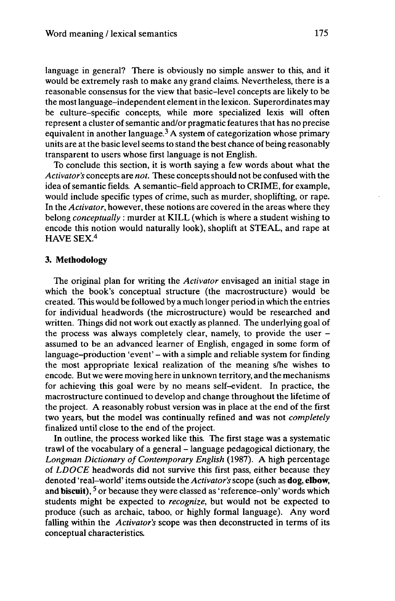language in general? There is obviously no simple answer to this, and it would be extremely rash to make any grand claims. Nevertheless, there is a reasonable consensus for the view that basic-level concepts are likely to be the mostlanguage-independent elementin the lexicon. Superordinates may be culture-specific concepts, while more specialized lexis will often represent a cluster of semantic and/or pragmatic features that has no precise equivalent in another language.<sup>3</sup> A system of categorization whose primary units are at the basic level seems to stand the best chance of being reasonably transparent to users whose first language is not English.

To conclude this section, it is worth saying a few words about what the *Activator's* concepts are *not.* These concepts should not be confused with the idea of semantic fields. A semantic-field approach to CRIME, for example, would include specific types of crime, such as murder, shoplifting, or rape. In the *Activator,* however, these notions are covered in the areas where they belong *conceptually :* murder at KILL (which is where a student wishing to encode this notion would naturally look), shoplift at STEAL, and rape at HAVE SEX.<sup>4</sup>

### **3. Methodology**

The original plan for writing the *Activator* envisaged an initial stage in which the book's conceptual structure (the macrostructure) would be created. This would be followed by a much longer period in which the entries for individual headwords (the microstructure) would be researched and written. Things did not work out exactly as planned. The underlying goal of the process was always completely clear, namely, to provide the user  $$ assumed to be an advanced learner of English, engaged in some form of language-production 'event' – with a simple and reliable system for finding the most appropriate lexical realization of the meaning s/he wishes to encode. But we were moving here in unknown territory, and the mechanisms for achieving this goal were by no means self-evident. In practice, the macrostructure continued to develop and change throughout the lifetime of the project. A reasonably robust version was in place at the end of the first two years, but the model was continually refined and was not *completely* finalized until close to the end of the project.

In outline, the process worked like this. The first stage was a systematic trawl of the vocabulary of <sup>a</sup> general -language pedagogical dictionary, the *Longman Dictionary ofContemporary English* (1987). A high percentage of *LDOCE* headwords did not survive this first pass, either because they denoted 'real-world' items outside the*Activator's*scope (such as **dog, elbow,** achoica Teal-world Reins buiside the *Activition*'s scope (such as dog, enound<br>and biscuit), <sup>5</sup> or because they were classed as 'reference-only' words which students might be expected to *recognize,* but would not be expected to produce (such as archaic, taboo, or highly formal language). Any word falling within the *Activator's* scope was then deconstructed in terms of its conceptual characteristics.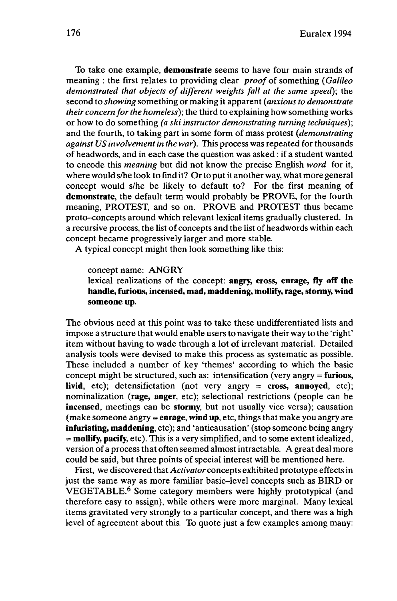To take one example, **demonstrate** seems to have four main strands of meaning : the first relates to providing clear *proof* of something *{Galileo demonstrated that objects of different weights fall at the same speed);* the second to *showing* something or making it apparent *{anxious to demonstrate their concern for the homeless*); the third to explaining how something works or how to do something *(a ski instructor demonstrating turning techniques);* and the fourth, to taking part in some form of mass protest *{demonstrating against US involvementin the war).* This process was repeated for thousands of headwords, and in each case the question was asked : if a student wanted to encode this *meaning* but did not know the precise English *word* for it, where would s/he look to find it? Or to put it another way, what more general concept would s/he be likely to default to? For the first meaning of **demonstrate,** the default term would probably be PROVE, for the fourth meaning, PROTEST, and so on. PROVE and PROTEST thus became proto-concepts around which relevant lexical items gradually clustered. In a recursive process, the list of concepts and the list of headwords within each concept became progressively larger and more stable.

A typical concept might then look something like this:

concept name: ANGRY

lexical realizations of the concept: **angry, cross, enrage, fly off the handle, furious, incensed, mad, maddening, mollify, rage, stormy, wind someone up.**

The obvious need at this point was to take these undifferentiated lists and impose a structure that would enable usersto navigate their way to the 'right' item without having to wade through a lot of irrelevant material. Detailed analysis tools were devised to make this process as systematic as possible. These included a number of key 'themes' according to which the basic concept might be structured, such as: intensification (very angry = **furious, livid,** etc); detensifictation (not very angry  $\approx$  cross, annoyed, etc); nominalization **(rage, anger,** etc); selectional restrictions (people can be **incensed,** meetings can be **stormy,** but not usually vice versa); causation (make someone angry = **enrage, windup,** etc, things that make you angry are **infuriating, maddening,** etc); and 'anticausation' (stop someone being angry = **mollify, pacify,** etc). This is a very simplified, and to some extent idealized, version of a process that often seemed almostintractable. A great deal more could be said, but three points of special interest will be mentioned here.

First, we discovered that *Activator* concepts exhibited prototype effectsin just the same way as more familiar basic-level concepts such as BIRD or VEGETABLE.<sup>6</sup> Some category members were highly prototypical (and therefore easy to assign), while others were more marginal. Many lexical items gravitated very strongly to a particular concept, and there was a high level of agreement about this. To quote just a few examples among many: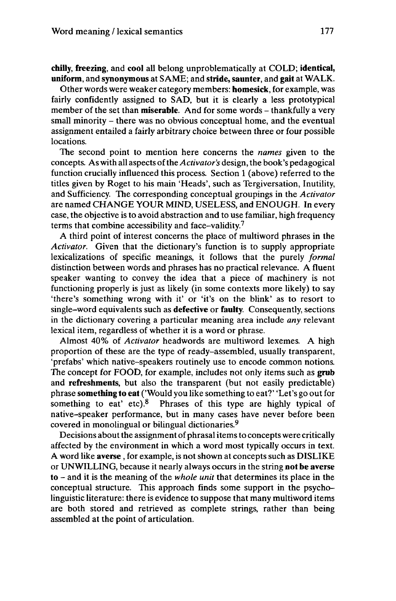# **chilly, freezing,** and **cool** all belong unproblematically at COLD; **identical, uniform,** and **synonymous** at SAME; and **stride, saunter,** and **gait** at WALK.

Other words were weaker category members: **homesick,** for example, was fairly confidently assigned to SAD, but it is clearly a less prototypical member of the set than **miserable**. And for some words - thankfully a very small minority - there was no obvious conceptual home, and the eventual assignment entailed a fairly arbitrary choice between three or four possible locations.

The second point to mention here concerns the *names* given to the concepts. As with all aspects ofthe*Activator's* design, the book's pedagogical function crucially influenced this process. Section <sup>1</sup> (above) referred to the titles given by Roget to his main 'Heads', such as Tergiversation, Inutility, and Sufficiency. The corresponding conceptual groupings in the *Activator* are named CHANGE YOUR MIND, USELESS, and ENOUGH. In every case, the objective is to avoid abstraction and to use familiar, high frequency terms that combine accessibility and face-validity.<sup>7</sup>

A third point of interest concerns the place of multiword phrases in the *Activator.* Given that the dictionary's function is to supply appropriate lexicalizations of specific meanings, it follows that the purely *formal* distinction between words and phrases has no practical relevance. A fluent speaker wanting to convey the idea that a piece of machinery is not functioning properly is just as likely (in some contexts more likely) to say 'there's something wrong with it' or 'it's on the blink' as to resort to single-word equivalents such as **defective** or **faulty.** Consequently, sections in the dictionary covering a particular meaning area include *any* relevant lexical item, regardless of whether it is a word or phrase.

Almost 40% of *Activator* headwords are multiword lexemes. A high proportion of these are the type of ready-assembled, usually transparent, 'prefabs' which native-speakers routinely use to encode common notions. The concept for FOOD, for example, includes not only items such as **grub** and **refreshments,** but also the transparent (but not easily predictable) phrase **something to eat** ('Would you like something to eat?' 'Let's go out for something to eat' etc).<sup>8</sup> Phrases of this type are highly typical of native-speaker performance, but in many cases have never before been covered in monolingual or bilingual dictionaries.<sup>9</sup>

Decisions about the assignment of phrasal items to concepts were critically affected by the environment in which a word most typically occurs in text. <sup>A</sup> word like **averse**, for example, is not shown at concepts such as DISLIKE or UNWILLING, because it nearly always occurs in the string **not be averse to** - and it is the meaning of the *whole unit* that determines its place in the conceptual structure. This approach finds some support in the psycholinguistic literature: there is evidence to suppose that many multiword items are both stored and retrieved as complete strings, rather than being assembled at the point of articulation.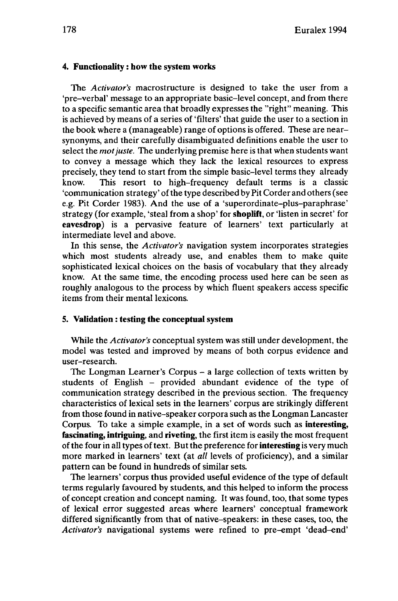### **4. Functionality** : **how the system works**

The *Activator's* macrostructure is designed to take the user from a 'pre-verbal' message to an appropriate basic-level concept, and from there to a specific semantic area that broadly expresses the "right" meaning. This is achieved by means of a series of 'filters' that guide the user to a section in the book where a (manageable) range of options is offered. These are nearsynonyms, and their carefully disambiguated definitions enable the user to select the *motjuste.* The underlying premise here is that when students want to convey a message which they lack the lexical resources to express precisely, they tend to start from the simple basic-level terms they already know. This resort to high-frequency default terms is a classic 'communication strategy' of the type described by Pit Corder and others (see e.g. Pit Corder 1983). And the use of a 'superordinate-plus-paraphrase' strategy (for example, 'steal from a shop' for **shoplift,** or 'listen in secret' for **eavesdrop)** is a pervasive feature of learners' text particularly at intermediate level and above.

In this sense, the *Activator's* navigation system incorporates strategies which most students already use, and enables them to make quite sophisticated lexical choices on the basis of vocabulary that they already know. At the same time, the encoding process used here can be seen as roughly analogous to the process by which fluent speakers access specific items from their mental lexicons.

### **5. Validation : testing the conceptual system**

While the *Activator's* conceptual system was still under development, the model was tested and improved by means of both corpus evidence and user-research.

The Longman Learner's Corpus - <sup>a</sup> large collection of texts written by students of English - provided abundant evidence of the type of communication strategy described in the previous section. The frequency characteristics of lexical sets in the learners' corpus are strikingly different from those found in native-speaker corpora such as the Longman Lancaster Corpus. To take a simple example, in a set of words such as **interesting, fascinating, intriguing,** and **riveting,** the first item is easily the most frequent ofthe fourin alltypes oftext. Butthe preference for**interesting** is very much more marked in learners' text (at *all* levels of proficiency), and a similar pattern can be found in hundreds of similar sets.

The learners' corpus thus provided useful evidence of the type of default terms regularly favoured by students, and this helped to inform the process of concept creation and concept naming. It was found, too, that some types of lexical error suggested areas where learners' conceptual framework differed significantly from that of native-speakers: in these cases, too, the *Activator's* navigational systems were refined to pre-empt 'dead-end'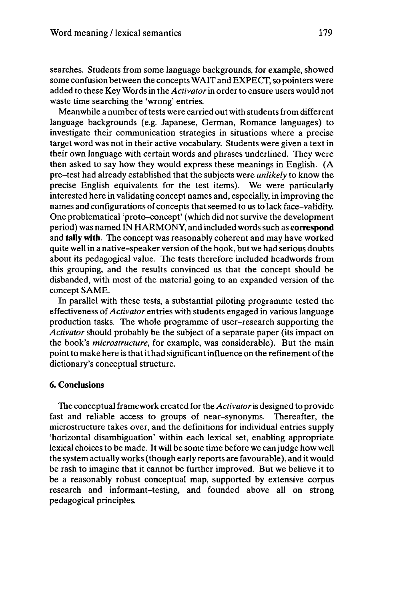searches. Students from some language backgrounds, for example, showed some confusion between the concepts WAIT and EXPECT, so pointers were added to these Key Words in the *Activator*in orderto ensure users would not waste time searching the 'wrong' entries.

Meanwhile a number of tests were carried out with students from different language backgrounds (e.g. Japanese, German, Romance languages) to investigate their communication strategies in situations where a precise target word was not in their active vocabulary. Students were given a text in their own language with certain words and phrases underlined. They were then asked to say how they would express these meanings in English. (A pre-test had already established that the subjects were *unlikely* to know the precise English equivalents for the test items). We were particularly interested here in validating concept names and, especially, in improving the names and configurations of concepts that seemed to us to lack face-validity. One problematical 'proto-concept' (which did not survive the development period) was named IN HARMONY, and included wordssuch as **correspond** and **tally with.** The concept was reasonably coherent and may have worked quite well in a native-speaker version of the book, but we had serious doubts about its pedagogical value. The tests therefore included headwords from this grouping, and the results convinced us that the concept should be disbanded, with most of the material going to an expanded version of the concept SAME.

In parallel with these tests, a substantial piloting programme tested the effectiveness of*Activator* entries with students engaged in various language production tasks. The whole programme of user-research supporting the *Activator* should probably be the subject of a separate paper (its impact on the book's *microstructure,* for example, was considerable). But the main point to make here is that it had significant influence on the refinement of the dictionary's conceptual structure.

### **6. Conclusions**

The conceptual framework created forthe *Activator*is designed to provide fast and reliable access to groups of near-synonyms. Thereafter, the microstructure takes over, and the definitions for individual entries supply 'horizontal disambiguation' within each lexical set, enabling appropriate lexical choicesto be made. It will be some time before we canjudge how well the system actually works (though early reports are favourable), and it would be rash to imagine that it cannot be further improved. But we believe it to be a reasonably robust conceptual map, supported by extensive corpus research and informant-testing, and founded above all on strong pedagogical principles.